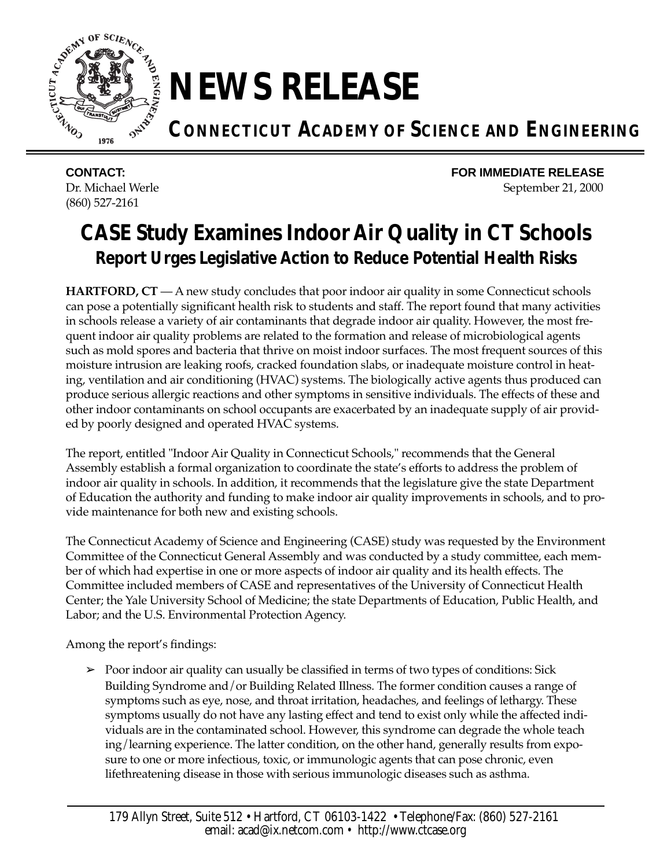

## **NEWS RELEASE**

**CONNECTICUT ACADEMY OF SCIENCE AND ENGINEERING**

(860) 527-2161

**CONTACT: FOR IMMEDIATE RELEASE** Dr. Michael Werle September 21, 2000

## **CASE Study Examines Indoor Air Quality in CT Schools** *Report Urges Legislative Action to Reduce Potential Health Risks*

**HARTFORD, CT** — A new study concludes that poor indoor air quality in some Connecticut schools can pose a potentially significant health risk to students and staff. The report found that many activities in schools release a variety of air contaminants that degrade indoor air quality. However, the most frequent indoor air quality problems are related to the formation and release of microbiological agents such as mold spores and bacteria that thrive on moist indoor surfaces. The most frequent sources of this moisture intrusion are leaking roofs, cracked foundation slabs, or inadequate moisture control in heating, ventilation and air conditioning (HVAC) systems. The biologically active agents thus produced can produce serious allergic reactions and other symptoms in sensitive individuals. The effects of these and other indoor contaminants on school occupants are exacerbated by an inadequate supply of air provided by poorly designed and operated HVAC systems.

The report, entitled "Indoor Air Quality in Connecticut Schools," recommends that the General Assembly establish a formal organization to coordinate the state's efforts to address the problem of indoor air quality in schools. In addition, it recommends that the legislature give the state Department of Education the authority and funding to make indoor air quality improvements in schools, and to provide maintenance for both new and existing schools.

The Connecticut Academy of Science and Engineering (CASE) study was requested by the Environment Committee of the Connecticut General Assembly and was conducted by a study committee, each member of which had expertise in one or more aspects of indoor air quality and its health effects. The Committee included members of CASE and representatives of the University of Connecticut Health Center; the Yale University School of Medicine; the state Departments of Education, Public Health, and Labor; and the U.S. Environmental Protection Agency.

Among the report's findings:

 $\geq$  Poor indoor air quality can usually be classified in terms of two types of conditions: Sick Building Syndrome and/or Building Related Illness. The former condition causes a range of symptoms such as eye, nose, and throat irritation, headaches, and feelings of lethargy. These symptoms usually do not have any lasting effect and tend to exist only while the affected individuals are in the contaminated school. However, this syndrome can degrade the whole teach ing/learning experience. The latter condition, on the other hand, generally results from exposure to one or more infectious, toxic, or immunologic agents that can pose chronic, even lifethreatening disease in those with serious immunologic diseases such as asthma.